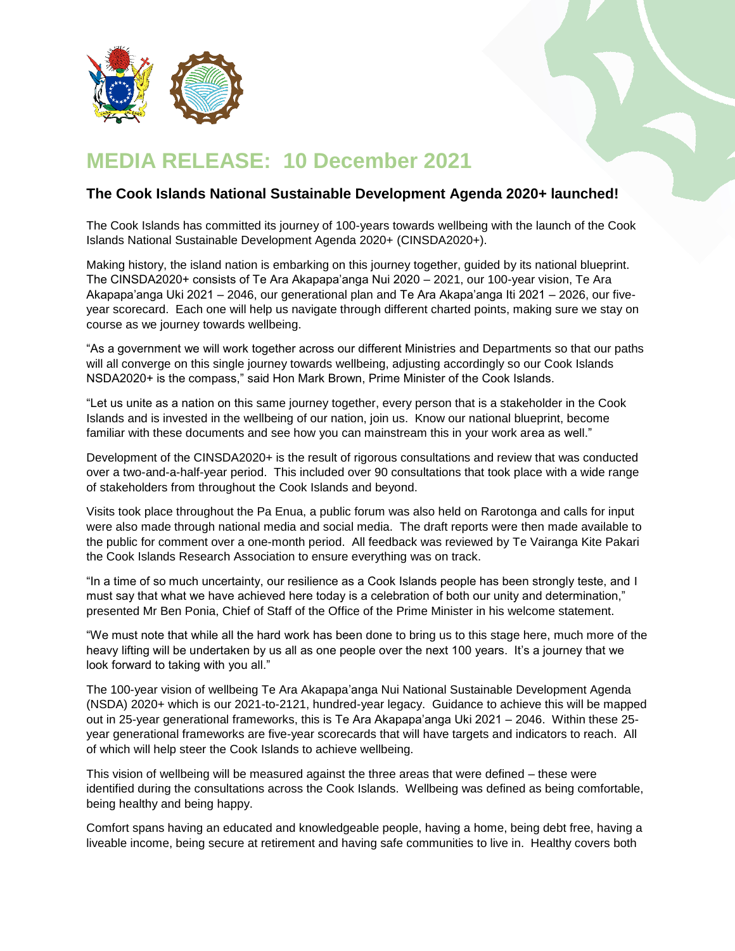

## **MEDIA RELEASE: 10 December 2021**

## **The Cook Islands National Sustainable Development Agenda 2020+ launched!**

The Cook Islands has committed its journey of 100-years towards wellbeing with the launch of the Cook Islands National Sustainable Development Agenda 2020+ (CINSDA2020+).

Making history, the island nation is embarking on this journey together, guided by its national blueprint. The CINSDA2020+ consists of Te Ara Akapapa'anga Nui 2020 – 2021, our 100-year vision, Te Ara Akapapa'anga Uki 2021 – 2046, our generational plan and Te Ara Akapa'anga Iti 2021 – 2026, our fiveyear scorecard. Each one will help us navigate through different charted points, making sure we stay on course as we journey towards wellbeing.

"As a government we will work together across our different Ministries and Departments so that our paths will all converge on this single journey towards wellbeing, adjusting accordingly so our Cook Islands NSDA2020+ is the compass," said Hon Mark Brown, Prime Minister of the Cook Islands.

"Let us unite as a nation on this same journey together, every person that is a stakeholder in the Cook Islands and is invested in the wellbeing of our nation, join us. Know our national blueprint, become familiar with these documents and see how you can mainstream this in your work area as well."

Development of the CINSDA2020+ is the result of rigorous consultations and review that was conducted over a two-and-a-half-year period. This included over 90 consultations that took place with a wide range of stakeholders from throughout the Cook Islands and beyond.

Visits took place throughout the Pa Enua, a public forum was also held on Rarotonga and calls for input were also made through national media and social media. The draft reports were then made available to the public for comment over a one-month period. All feedback was reviewed by Te Vairanga Kite Pakari the Cook Islands Research Association to ensure everything was on track.

"In a time of so much uncertainty, our resilience as a Cook Islands people has been strongly teste, and I must say that what we have achieved here today is a celebration of both our unity and determination," presented Mr Ben Ponia, Chief of Staff of the Office of the Prime Minister in his welcome statement.

"We must note that while all the hard work has been done to bring us to this stage here, much more of the heavy lifting will be undertaken by us all as one people over the next 100 years. It's a journey that we look forward to taking with you all."

The 100-year vision of wellbeing Te Ara Akapapa'anga Nui National Sustainable Development Agenda (NSDA) 2020+ which is our 2021-to-2121, hundred-year legacy. Guidance to achieve this will be mapped out in 25-year generational frameworks, this is Te Ara Akapapa'anga Uki 2021 – 2046. Within these 25 year generational frameworks are five-year scorecards that will have targets and indicators to reach. All of which will help steer the Cook Islands to achieve wellbeing.

This vision of wellbeing will be measured against the three areas that were defined – these were identified during the consultations across the Cook Islands. Wellbeing was defined as being comfortable, being healthy and being happy.

Comfort spans having an educated and knowledgeable people, having a home, being debt free, having a liveable income, being secure at retirement and having safe communities to live in. Healthy covers both